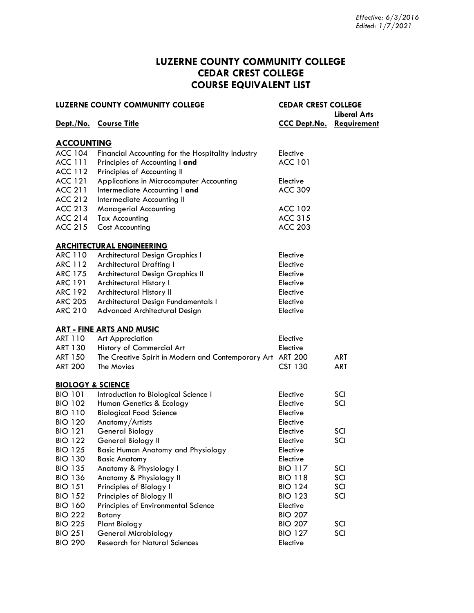### **LUZERNE COUNTY COMMUNITY COLLEGE CEDAR CREST COLLEGE COURSE EQUIVALENT LIST**

|                              | <b>LUZERNE COUNTY COMMUNITY COLLEGE</b>                    | <b>CEDAR CREST COLLEGE</b> | <b>Liberal Arts</b> |
|------------------------------|------------------------------------------------------------|----------------------------|---------------------|
|                              | Dept./No. Course Title                                     | <b>CCC Dept.No.</b>        | <u>Requirement</u>  |
| <b>ACCOUNTING</b>            |                                                            |                            |                     |
| <b>ACC 104</b>               | Financial Accounting for the Hospitality Industry          | Elective                   |                     |
| <b>ACC 111</b>               | Principles of Accounting I and                             | <b>ACC 101</b>             |                     |
| <b>ACC 112</b>               | Principles of Accounting II                                |                            |                     |
| <b>ACC 121</b>               | Applications in Microcomputer Accounting                   | Elective                   |                     |
| <b>ACC 211</b>               | Intermediate Accounting I and                              | <b>ACC 309</b>             |                     |
| <b>ACC 212</b>               | Intermediate Accounting II                                 |                            |                     |
| <b>ACC 213</b>               | <b>Managerial Accounting</b>                               | <b>ACC 102</b>             |                     |
| <b>ACC 214</b>               | <b>Tax Accounting</b>                                      | <b>ACC 315</b>             |                     |
| <b>ACC 215</b>               | <b>Cost Accounting</b>                                     | <b>ACC 203</b>             |                     |
|                              | <b>ARCHITECTURAL ENGINEERING</b>                           |                            |                     |
| <b>ARC 110</b>               | <b>Architectural Design Graphics I</b>                     | Elective                   |                     |
| <b>ARC 112</b>               | <b>Architectural Drafting I</b>                            | Elective                   |                     |
| <b>ARC 175</b>               | Architectural Design Graphics II                           | Elective                   |                     |
| <b>ARC 191</b>               | Architectural History I                                    | Elective                   |                     |
| <b>ARC 192</b>               | Architectural History II                                   | Elective                   |                     |
| <b>ARC 205</b>               | Architectural Design Fundamentals I                        | Elective                   |                     |
| <b>ARC 210</b>               | Advanced Architectural Design                              | Elective                   |                     |
|                              | <b>ART - FINE ARTS AND MUSIC</b>                           |                            |                     |
| <b>ART 110</b>               | <b>Art Appreciation</b>                                    | Elective                   |                     |
| <b>ART 130</b>               | History of Commercial Art                                  | Elective                   |                     |
| <b>ART 150</b>               | The Creative Spirit in Modern and Contemporary Art ART 200 |                            | <b>ART</b>          |
| <b>ART 200</b>               | The Movies                                                 | <b>CST 130</b>             | <b>ART</b>          |
| <b>BIOLOGY &amp; SCIENCE</b> |                                                            |                            |                     |
| <b>BIO 101</b>               | Introduction to Biological Science I                       | Elective                   | SCI                 |
| <b>BIO 102</b>               | Human Genetics & Ecology                                   | Elective                   | SCI                 |
| <b>BIO 110</b>               | <b>Biological Food Science</b>                             | Elective                   |                     |
| <b>BIO 120</b>               | Anatomy/Artists                                            | Elective                   |                     |
| <b>BIO 121</b>               | General Biology                                            | Elective                   | SCI                 |
| <b>BIO 122</b>               | General Biology II                                         | Elective                   | SCI                 |
| <b>BIO 125</b>               | <b>Basic Human Anatomy and Physiology</b>                  | Elective                   |                     |
| <b>BIO 130</b>               | <b>Basic Anatomy</b>                                       | Elective                   |                     |
| <b>BIO 135</b>               | Anatomy & Physiology I                                     | <b>BIO 117</b>             | SCI                 |
| <b>BIO 136</b>               | Anatomy & Physiology II                                    | <b>BIO 118</b>             | SCI                 |
| <b>BIO 151</b>               | Principles of Biology I                                    | <b>BIO 124</b>             | SCI                 |
| <b>BIO 152</b>               | Principles of Biology II                                   | <b>BIO 123</b>             | SCI                 |
| <b>BIO 160</b>               | Principles of Environmental Science                        | Elective                   |                     |
| <b>BIO 222</b>               | Botany                                                     | <b>BIO 207</b>             |                     |
| <b>BIO 225</b>               | <b>Plant Biology</b>                                       | <b>BIO 207</b>             | SCI                 |
| <b>BIO 251</b>               | General Microbiology                                       | <b>BIO 127</b>             | SCI                 |
| <b>BIO 290</b>               | <b>Research for Natural Sciences</b>                       | Elective                   |                     |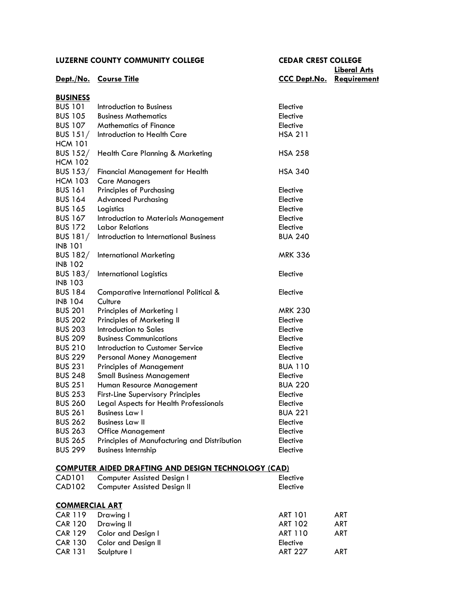**Liberal Arts Dept./No. Course Title CCC Dept.No. Requirement**

| <b>BUSINESS</b>       |                                                            |                |            |
|-----------------------|------------------------------------------------------------|----------------|------------|
| <b>BUS 101</b>        | Introduction to Business                                   | Elective       |            |
| <b>BUS 105</b>        | <b>Business Mathematics</b>                                | Elective       |            |
| <b>BUS 107</b>        | <b>Mathematics of Finance</b>                              | Elective       |            |
| BUS $151/$            | Introduction to Health Care                                | <b>HSA 211</b> |            |
| <b>HCM 101</b>        |                                                            |                |            |
| <b>BUS 152/</b>       | Health Care Planning & Marketing                           | <b>HSA 258</b> |            |
| <b>HCM 102</b>        |                                                            |                |            |
| <b>BUS 153/</b>       | <b>Financial Management for Health</b>                     | <b>HSA 340</b> |            |
| <b>HCM 103</b>        | <b>Care Managers</b>                                       |                |            |
| <b>BUS 161</b>        | Principles of Purchasing                                   | Elective       |            |
| <b>BUS 164</b>        | <b>Advanced Purchasing</b>                                 | Elective       |            |
| <b>BUS 165</b>        | Logistics                                                  | Elective       |            |
| <b>BUS 167</b>        | Introduction to Materials Management                       | Elective       |            |
| <b>BUS 172</b>        | <b>Labor Relations</b>                                     | Elective       |            |
| <b>BUS 181/</b>       | Introduction to International Business                     | <b>BUA 240</b> |            |
| <b>INB 101</b>        |                                                            |                |            |
| <b>BUS 182/</b>       | <b>International Marketing</b>                             | <b>MRK 336</b> |            |
| <b>INB 102</b>        |                                                            |                |            |
| <b>BUS 183/</b>       | International Logistics                                    | Elective       |            |
| <b>INB 103</b>        |                                                            |                |            |
| <b>BUS 184</b>        | Comparative International Political &                      | Elective       |            |
| <b>INB 104</b>        | Culture                                                    |                |            |
| <b>BUS 201</b>        | <b>Principles of Marketing I</b>                           | <b>MRK 230</b> |            |
| <b>BUS 202</b>        | Principles of Marketing II                                 | Elective       |            |
| <b>BUS 203</b>        | Introduction to Sales                                      | Elective       |            |
| <b>BUS 209</b>        | <b>Business Communications</b>                             | Elective       |            |
| <b>BUS 210</b>        | Introduction to Customer Service                           | Elective       |            |
| <b>BUS 229</b>        | Personal Money Management                                  | Elective       |            |
| <b>BUS 231</b>        | <b>Principles of Management</b>                            | <b>BUA 110</b> |            |
| <b>BUS 248</b>        | <b>Small Business Management</b>                           | Elective       |            |
| <b>BUS 251</b>        | Human Resource Management                                  | <b>BUA 220</b> |            |
| <b>BUS 253</b>        | <b>First-Line Supervisory Principles</b>                   | Elective       |            |
| <b>BUS 260</b>        | Legal Aspects for Health Professionals                     | Elective       |            |
| <b>BUS 261</b>        | <b>Business Law I</b>                                      | <b>BUA 221</b> |            |
| <b>BUS 262</b>        | <b>Business Law II</b>                                     | Elective       |            |
| <b>BUS 263</b>        | <b>Office Management</b>                                   | Elective       |            |
| <b>BUS 265</b>        | Principles of Manufacturing and Distribution               | Elective       |            |
| <b>BUS 299</b>        |                                                            |                |            |
|                       | <b>Business Internship</b>                                 | Elective       |            |
|                       | <b>COMPUTER AIDED DRAFTING AND DESIGN TECHNOLOGY (CAD)</b> |                |            |
| <b>CAD101</b>         | Computer Assisted Design I                                 | Elective       |            |
| <b>CAD102</b>         | <b>Computer Assisted Design II</b>                         | Elective       |            |
| <b>COMMERCIAL ART</b> |                                                            |                |            |
| <b>CAR 119</b>        | Drawing I                                                  | <b>ART 101</b> | <b>ART</b> |
| <b>CAR 120</b>        | Drawing II                                                 | <b>ART 102</b> | <b>ART</b> |
| <b>CAR 129</b>        | Color and Design I                                         | <b>ART 110</b> | <b>ART</b> |
| <b>CAR 130</b>        | Color and Design II                                        | Elective       |            |
| <b>CAR 131</b>        | Sculpture I                                                | <b>ART 227</b> | <b>ART</b> |
|                       |                                                            |                |            |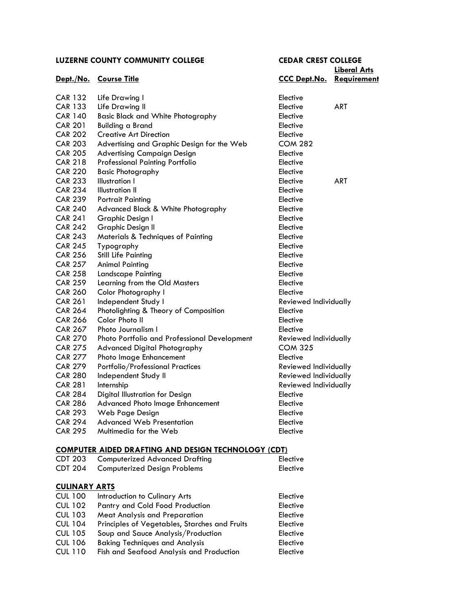| LUZERNE COUNTY COMMUNITY COLLEGE |                                              | <b>CEDAR CREST COLLEGE</b> |                                    |
|----------------------------------|----------------------------------------------|----------------------------|------------------------------------|
|                                  | Dept./No. Course Title                       | <b>CCC Dept.No.</b>        | <b>Liberal Arts</b><br>Requirement |
| <b>CAR 132</b>                   | Life Drawing I                               | Elective                   |                                    |
| <b>CAR 133</b>                   | Life Drawing II                              | Elective                   | <b>ART</b>                         |
| <b>CAR 140</b>                   | <b>Basic Black and White Photography</b>     | Elective                   |                                    |
| <b>CAR 201</b>                   | <b>Building a Brand</b>                      | Elective                   |                                    |
| <b>CAR 202</b>                   | <b>Creative Art Direction</b>                | Elective                   |                                    |
| <b>CAR 203</b>                   | Advertising and Graphic Design for the Web   | <b>COM 282</b>             |                                    |
| <b>CAR 205</b>                   | <b>Advertising Campaign Design</b>           | Elective                   |                                    |
| <b>CAR 218</b>                   | <b>Professional Painting Portfolio</b>       | Elective                   |                                    |
| <b>CAR 220</b>                   | <b>Basic Photography</b>                     | Elective                   |                                    |
| <b>CAR 233</b>                   | Illustration I                               | Elective                   | <b>ART</b>                         |
| <b>CAR 234</b>                   | <b>Illustration II</b>                       | Elective                   |                                    |
| <b>CAR 239</b>                   | <b>Portrait Painting</b>                     | Elective                   |                                    |
| <b>CAR 240</b>                   | Advanced Black & White Photography           | Elective                   |                                    |
| <b>CAR 241</b>                   | Graphic Design I                             | Elective                   |                                    |
| <b>CAR 242</b>                   | <b>Graphic Design II</b>                     | Elective                   |                                    |
| <b>CAR 243</b>                   | Materials & Techniques of Painting           | Elective                   |                                    |
| <b>CAR 245</b>                   | Typography                                   | Elective                   |                                    |
| <b>CAR 256</b>                   | <b>Still Life Painting</b>                   | Elective                   |                                    |
| <b>CAR 257</b>                   | <b>Animal Painting</b>                       | Elective                   |                                    |
| <b>CAR 258</b>                   | <b>Landscape Painting</b>                    | Elective                   |                                    |
| <b>CAR 259</b>                   | Learning from the Old Masters                | Elective                   |                                    |
| <b>CAR 260</b>                   | Color Photography I                          | Elective                   |                                    |
| <b>CAR 261</b>                   | Independent Study I                          | Reviewed Individually      |                                    |
| <b>CAR 264</b>                   | Photolighting & Theory of Composition        | Elective                   |                                    |
| <b>CAR 266</b>                   | Color Photo II                               | Elective                   |                                    |
| <b>CAR 267</b>                   | Photo Journalism I                           | Elective                   |                                    |
| <b>CAR 270</b>                   | Photo Portfolio and Professional Development | Reviewed Individually      |                                    |
| <b>CAR 275</b>                   | Advanced Digital Photography                 | <b>COM 325</b>             |                                    |
| <b>CAR 277</b>                   | Photo Image Enhancement                      | Elective                   |                                    |
| <b>CAR 279</b>                   | Portfolio/Professional Practices             | Reviewed Individually      |                                    |
| <b>CAR 280</b>                   | Independent Study II                         | Reviewed Individually      |                                    |
| <b>CAR 281</b>                   | Internship                                   | Reviewed Individually      |                                    |
| <b>CAR 284</b>                   | Digital Illustration for Design              | Elective                   |                                    |
| <b>CAR 286</b>                   | Advanced Photo Image Enhancement             | Elective                   |                                    |
| <b>CAR 293</b>                   | Web Page Design                              | Elective                   |                                    |
| <b>CAR 294</b>                   | <b>Advanced Web Presentation</b>             | Elective                   |                                    |
| <b>CAR 295</b>                   | Multimedia for the Web                       | Elective                   |                                    |
|                                  |                                              |                            |                                    |

## **[COMPUTER AIDED DRAFTING AND DESIGN TECHNOLOGY](http://www.luzerne.edu/academics/catalog2015/coursedesc2.jsp?code=CDT§ion=COMPUTER-AIDED%20DRAFTING%20AND%20DESIGN%20TECHN) (CDT)**

| <b>CDT 203</b>       | <b>Computerized Advanced Drafting</b>         | Elective        |
|----------------------|-----------------------------------------------|-----------------|
| <b>CDT 204</b>       | <b>Computerized Design Problems</b>           | Elective        |
|                      |                                               |                 |
| <b>CULINARY ARTS</b> |                                               |                 |
| <b>CUL 100</b>       | Introduction to Culinary Arts                 | Elective        |
| <b>CUL 102</b>       | Pantry and Cold Food Production               | Elective        |
| <b>CUL 103</b>       | <b>Meat Analysis and Preparation</b>          | Elective        |
| <b>CUL 104</b>       | Principles of Vegetables, Starches and Fruits | Elective        |
| <b>CUL 105</b>       | Soup and Sauce Analysis/Production            | Elective        |
| <b>CUL 106</b>       | <b>Baking Techniques and Analysis</b>         | <b>Elective</b> |
| <b>CUL 110</b>       | Fish and Seafood Analysis and Production      | Elective        |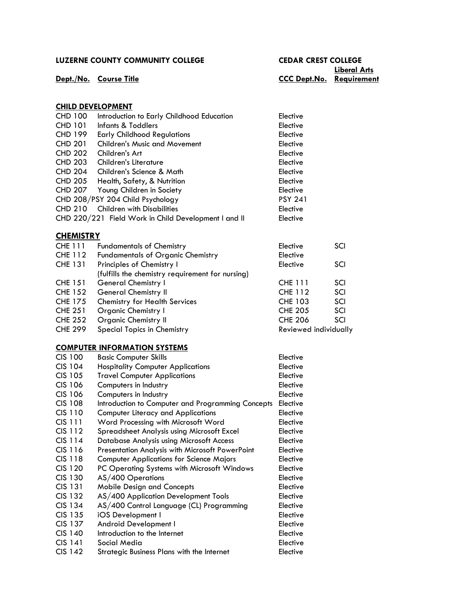## **Liberal Arts Dept./No. Course Title CCC Dept.No. Requirement**

#### **CHILD DEVELOPMENT**

| <b>CHD 100</b> | Introduction to Early Childhood Education            | Elective       |  |
|----------------|------------------------------------------------------|----------------|--|
| <b>CHD 101</b> | Infants & Toddlers                                   | Elective       |  |
| <b>CHD 199</b> | <b>Early Childhood Regulations</b>                   | Elective       |  |
| <b>CHD 201</b> | <b>Children's Music and Movement</b>                 | Elective       |  |
| <b>CHD 202</b> | Children's Art                                       | Elective       |  |
| <b>CHD 203</b> | Children's Literature                                | Elective       |  |
| <b>CHD 204</b> | Children's Science & Math                            | Elective       |  |
| <b>CHD 205</b> | Health, Safety, & Nutrition                          | Elective       |  |
| <b>CHD 207</b> | Young Children in Society                            | Elective       |  |
|                | CHD 208/PSY 204 Child Psychology                     | <b>PSY 241</b> |  |
| <b>CHD 210</b> | <b>Children with Disabilities</b>                    | Elective       |  |
|                | CHD 220/221 Field Work in Child Development I and II | Elective       |  |
|                |                                                      |                |  |

#### **[CHEMISTRY](http://www.luzerne.edu/academics/catalog2015/coursedesc2.jsp?code=CHE§ion=CHEMISTRY)**

| <b>CHE 111</b> | <b>Fundamentals of Chemistry</b>                 | Elective              | SCI        |
|----------------|--------------------------------------------------|-----------------------|------------|
| CHE 112        | <b>Fundamentals of Organic Chemistry</b>         | Elective              |            |
| <b>CHE 131</b> | Principles of Chemistry I                        | Elective              | SCI        |
|                | (fulfills the chemistry requirement for nursing) |                       |            |
| <b>CHE 151</b> | <b>General Chemistry I</b>                       | <b>CHE 111</b>        | SCI        |
| <b>CHE 152</b> | <b>General Chemistry II</b>                      | <b>CHE 112</b>        | SCI        |
| <b>CHE 175</b> | <b>Chemistry for Health Services</b>             | <b>CHE 103</b>        | <b>SCI</b> |
| <b>CHE 251</b> | Organic Chemistry I                              | <b>CHE 205</b>        | SCI        |
| <b>CHE 252</b> | <b>Organic Chemistry II</b>                      | <b>CHE 206</b>        | SCI        |
| <b>CHE 299</b> | Special Topics in Chemistry                      | Reviewed individually |            |

#### **[COMPUTER INFORMATION SYSTEMS](http://www.luzerne.edu/academics/catalog2015/coursedesc2.jsp?code=CIS§ion=COMPUTER%20INFORMATION%20SYSTEMS)**

| <b>CIS 100</b> | <b>Basic Computer Skills</b>                      | Elective |
|----------------|---------------------------------------------------|----------|
| <b>CIS 104</b> | <b>Hospitality Computer Applications</b>          | Elective |
| <b>CIS 105</b> | <b>Travel Computer Applications</b>               | Elective |
| CIS 106        | Computers in Industry                             | Elective |
| <b>CIS 106</b> | Computers in Industry                             | Elective |
| <b>CIS 108</b> | Introduction to Computer and Programming Concepts | Elective |
| <b>CIS 110</b> | <b>Computer Literacy and Applications</b>         | Elective |
| <b>CIS 111</b> | Word Processing with Microsoft Word               | Elective |
| $CIS$ 112      | Spreadsheet Analysis using Microsoft Excel        | Elective |
| $CIS$ 114      | Database Analysis using Microsoft Access          | Elective |
| CIS 116        | Presentation Analysis with Microsoft PowerPoint   | Elective |
| $CIS$ 118      | <b>Computer Applications for Science Majors</b>   | Elective |
| CIS 120        | PC Operating Systems with Microsoft Windows       | Elective |
| CIS 130        | AS/400 Operations                                 | Elective |
| <b>CIS 131</b> | <b>Mobile Design and Concepts</b>                 | Elective |
| <b>CIS 132</b> | AS/400 Application Development Tools              | Elective |
| <b>CIS 134</b> | AS/400 Control Language (CL) Programming          | Elective |
| CIS 135        | <b>iOS</b> Development I                          | Elective |
| CIS 137        | Android Development I                             | Elective |
| CIS 140        | Introduction to the Internet                      | Elective |
| $CIS$ 141      | Social Media                                      | Elective |
| $CIS$ 142      | Strategic Business Plans with the Internet        | Elective |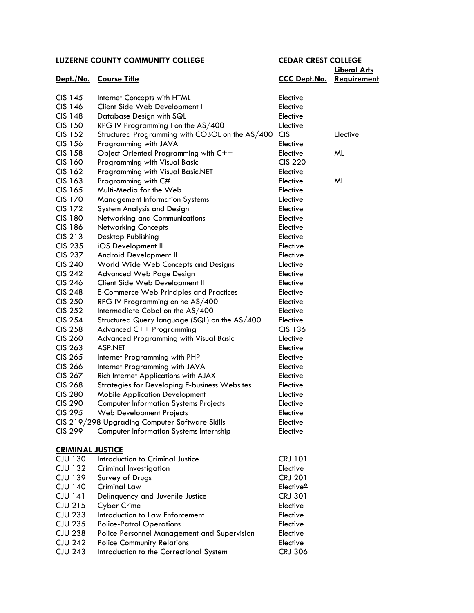# **Liberal Arts**

|                         | Dept./No. Course Title                               | <b>CCC Dept.No. Requirement</b> |          |
|-------------------------|------------------------------------------------------|---------------------------------|----------|
| CIS 145                 | Internet Concepts with HTML                          | Elective                        |          |
| CIS 146                 | Client Side Web Development I                        | Elective                        |          |
| <b>CIS 148</b>          | Database Design with SQL                             | Elective                        |          |
| CIS 150                 | RPG IV Programming I on the AS/400                   | Elective                        |          |
| <b>CIS 152</b>          | Structured Programming with COBOL on the AS/400      | <b>CIS</b>                      | Elective |
| CIS 156                 | Programming with JAVA                                | Elective                        |          |
| <b>CIS 158</b>          | Object Oriented Programming with C++                 | Elective                        | ML       |
| CIS 160                 | Programming with Visual Basic                        | <b>CIS 220</b>                  |          |
| CIS 162                 | Programming with Visual Basic.NET                    | Elective                        |          |
| CIS 163                 | Programming with C#                                  | Elective                        | ML       |
| CIS 165                 | Multi-Media for the Web                              | Elective                        |          |
| <b>CIS 170</b>          | <b>Management Information Systems</b>                | Elective                        |          |
| <b>CIS 172</b>          | System Analysis and Design                           | Elective                        |          |
| <b>CIS 180</b>          | Networking and Communications                        | Elective                        |          |
| <b>CIS 186</b>          | <b>Networking Concepts</b>                           | Elective                        |          |
| CIS 213                 | Desktop Publishing                                   | Elective                        |          |
| <b>CIS 235</b>          | iOS Development II                                   | Elective                        |          |
| <b>CIS 237</b>          | Android Development II                               | Elective                        |          |
| <b>CIS 240</b>          | World Wide Web Concepts and Designs                  | Elective                        |          |
| <b>CIS 242</b>          | <b>Advanced Web Page Design</b>                      | Elective                        |          |
| <b>CIS 246</b>          | Client Side Web Development II                       | Elective                        |          |
| <b>CIS 248</b>          | <b>E-Commerce Web Principles and Practices</b>       | Elective                        |          |
| <b>CIS 250</b>          | RPG IV Programming on he AS/400                      | Elective                        |          |
| <b>CIS 252</b>          | Intermediate Cobol on the AS/400                     | Elective                        |          |
| <b>CIS 254</b>          | Structured Query language (SQL) on the AS/400        | Elective                        |          |
| <b>CIS 258</b>          | Advanced C++ Programming                             | CIS 136                         |          |
| <b>CIS 260</b>          | <b>Advanced Programming with Visual Basic</b>        | Elective                        |          |
| CIS 263                 | <b>ASP.NET</b>                                       | Elective                        |          |
| CIS 265                 | Internet Programming with PHP                        | Elective                        |          |
| <b>CIS 266</b>          | Internet Programming with JAVA                       | Elective                        |          |
| CIS 267                 | Rich Internet Applications with AJAX                 | Elective                        |          |
| <b>CIS 268</b>          | <b>Strategies for Developing E-business Websites</b> | Elective                        |          |
| <b>CIS 280</b>          | <b>Mobile Application Development</b>                | Elective                        |          |
| <b>CIS 290</b>          | <b>Computer Information Systems Projects</b>         | Elective                        |          |
| <b>CIS 295</b>          | Web Development Projects                             | Elective                        |          |
|                         | CIS 219/298 Upgrading Computer Software Skills       | Elective                        |          |
| <b>CIS 299</b>          | <b>Computer Information Systems Internship</b>       | Elective                        |          |
| <b>CRIMINAL JUSTICE</b> |                                                      |                                 |          |
| <b>CJU 130</b>          | Introduction to Criminal Justice                     | <b>CRJ 101</b>                  |          |
| <b>CJU 132</b>          | <b>Criminal Investigation</b>                        | Elective                        |          |
| <b>CJU 139</b>          | Survey of Drugs                                      | <b>CRJ 201</b>                  |          |
| <b>CJU 140</b>          | <b>Criminal Law</b>                                  | Elective*                       |          |
| <b>CJU 141</b>          | Delinquency and Juvenile Justice                     | <b>CRJ 301</b>                  |          |
| <b>CJU 215</b>          | Cyber Crime                                          | Elective                        |          |
| <b>CJU 233</b>          | Introduction to Law Enforcement                      | Elective                        |          |
| <b>CJU 235</b>          | <b>Police-Patrol Operations</b>                      | Elective                        |          |
| <b>CJU 238</b>          | Police Personnel Management and Supervision          | Elective                        |          |
| <b>CJU 242</b>          | <b>Police Community Relations</b>                    | Elective                        |          |
| <b>CJU 243</b>          | Introduction to the Correctional System              | <b>CRJ 306</b>                  |          |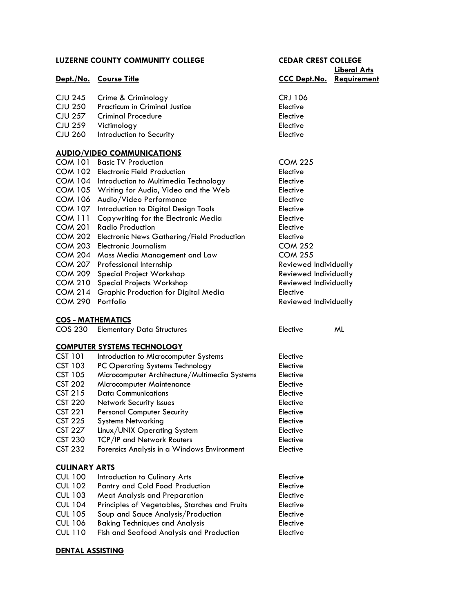|                      | <b>LUZERNE COUNTY COMMUNITY COLLEGE</b>       | <b>CEDAR CREST COLLEGE</b>      |                     |
|----------------------|-----------------------------------------------|---------------------------------|---------------------|
|                      |                                               |                                 | <b>Liberal Arts</b> |
|                      | Dept./No. Course Title                        | <b>CCC Dept.No. Requirement</b> |                     |
| <b>CJU 245</b>       | Crime & Criminology                           | <b>CRJ 106</b>                  |                     |
| <b>CJU 250</b>       | <b>Practicum in Criminal Justice</b>          | Elective                        |                     |
| <b>CJU 257</b>       | <b>Criminal Procedure</b>                     | Elective                        |                     |
| <b>CJU 259</b>       | Victimology                                   | Elective                        |                     |
| <b>CJU 260</b>       | Introduction to Security                      | Elective                        |                     |
|                      | <b>AUDIO/VIDEO COMMUNICATIONS</b>             |                                 |                     |
|                      | COM 101 Basic TV Production                   | <b>COM 225</b>                  |                     |
|                      | COM 102 Electronic Field Production           | Elective                        |                     |
| COM 104              | Introduction to Multimedia Technology         | Elective                        |                     |
|                      | COM 105 Writing for Audio, Video and the Web  | Elective                        |                     |
| COM 106              | Audio/Video Performance                       | Elective                        |                     |
| <b>COM 107</b>       | Introduction to Digital Design Tools          | Elective                        |                     |
| COM 111              | Copywriting for the Electronic Media          | Elective                        |                     |
| <b>COM 201</b>       | <b>Radio Production</b>                       | Elective                        |                     |
| <b>COM 202</b>       | Electronic News Gathering/Field Production    | Elective                        |                     |
| <b>COM 203</b>       | Electronic Journalism                         | <b>COM 252</b>                  |                     |
| <b>COM 204</b>       | Mass Media Management and Law                 | <b>COM 255</b>                  |                     |
| <b>COM 207</b>       | Professional Internship                       | Reviewed Individually           |                     |
| <b>COM 209</b>       | Special Project Workshop                      | Reviewed Individually           |                     |
| <b>COM 210</b>       | Special Projects Workshop                     | Reviewed Individually           |                     |
| <b>COM 214</b>       | Graphic Production for Digital Media          | Elective                        |                     |
| <b>COM 290</b>       | Portfolio                                     | Reviewed Individually           |                     |
|                      | <b>COS - MATHEMATICS</b>                      |                                 |                     |
| <b>COS 230</b>       | <b>Elementary Data Structures</b>             | Elective                        | ML                  |
|                      | <b>COMPUTER SYSTEMS TECHNOLOGY</b>            |                                 |                     |
| <b>CST 101</b>       | Introduction to Microcomputer Systems         | Elective                        |                     |
| <b>CST 103</b>       | PC Operating Systems Technology               | Elective                        |                     |
| <b>CST 105</b>       | Microcomputer Architecture/Multimedia Systems | Elective                        |                     |
| <b>CST 202</b>       | Microcomputer Maintenance                     | Elective                        |                     |
| <b>CST 215</b>       | <b>Data Communications</b>                    | Elective                        |                     |
| <b>CST 220</b>       | Network Security Issues                       | Elective                        |                     |
| <b>CST 221</b>       | <b>Personal Computer Security</b>             | Elective                        |                     |
| <b>CST 225</b>       | <b>Systems Networking</b>                     | Elective                        |                     |
| <b>CST 227</b>       | Linux/UNIX Operating System                   | Elective                        |                     |
| <b>CST 230</b>       | TCP/IP and Network Routers                    | Elective                        |                     |
| <b>CST 232</b>       | Forensics Analysis in a Windows Environment   | Elective                        |                     |
| <b>CULINARY ARTS</b> |                                               |                                 |                     |
| <b>CUL 100</b>       | Introduction to Culinary Arts                 | Elective                        |                     |
| <b>CUL 102</b>       | Pantry and Cold Food Production               | Elective                        |                     |
| <b>CUL 103</b>       | <b>Meat Analysis and Preparation</b>          | Elective                        |                     |
| <b>CUL 104</b>       | Principles of Vegetables, Starches and Fruits | Elective                        |                     |
| <b>CUL 105</b>       | Soup and Sauce Analysis/Production            | Elective                        |                     |
| <b>CUL 106</b>       | <b>Baking Techniques and Analysis</b>         | Elective                        |                     |

### CUL 110 Fish and Seafood Analysis and Production Elective

### **[DENTAL ASSISTING](http://www.luzerne.edu/academics/catalog2015/coursedesc2.jsp?code=DAS§ion=DENTAL%20ASSISTING)**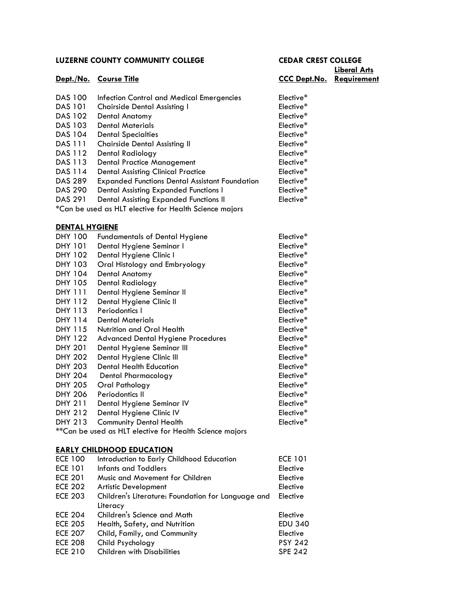**Liberal Arts Dept./No. Course Title CCC Dept.No. Requirement**

| <b>DAS 100</b> | Infection Control and Medical Emergencies             | Elective*             |
|----------------|-------------------------------------------------------|-----------------------|
| <b>DAS 101</b> | <b>Chairside Dental Assisting I</b>                   | Elective <sup>*</sup> |
| DAS 102        | <b>Dental Anatomy</b>                                 | Elective <sup>*</sup> |
| DAS 103        | <b>Dental Materials</b>                               | Elective <sup>*</sup> |
| DAS 104        | <b>Dental Specialties</b>                             | Elective <sup>*</sup> |
| <b>DAS 111</b> | <b>Chairside Dental Assisting II</b>                  | Elective <sup>*</sup> |
| DAS 112        | Dental Radiology                                      | Elective <sup>*</sup> |
| DAS 113        | <b>Dental Practice Management</b>                     | Elective <sup>*</sup> |
| DAS 114        | <b>Dental Assisting Clinical Practice</b>             | Elective <sup>*</sup> |
| DAS 289        | <b>Expanded Functions Dental Assistant Foundation</b> | Elective*             |
| <b>DAS 290</b> | Dental Assisting Expanded Functions I                 | Elective*             |
| DAS 291        | Dental Assisting Expanded Functions II                | Elective <sup>*</sup> |

\*Can be used as HLT elective for Health Science majors

### **[DENTAL HYGIENE](http://www.luzerne.edu/academics/catalog2015/coursedesc2.jsp?code=DHY§ion=DENTAL%20HYGIENE)**

| DHY 100        | <b>Fundamentals of Dental Hygiene</b>                   | Elective* |
|----------------|---------------------------------------------------------|-----------|
| <b>DHY 101</b> | Dental Hygiene Seminar I                                | Elective* |
| <b>DHY 102</b> | Dental Hygiene Clinic I                                 | Elective* |
| <b>DHY 103</b> | Oral Histology and Embryology                           | Elective* |
| <b>DHY 104</b> | Dental Anatomy                                          | Elective* |
| <b>DHY 105</b> | Dental Radiology                                        | Elective* |
| <b>DHY 111</b> | Dental Hygiene Seminar II                               | Elective* |
| DHY 112        | Dental Hygiene Clinic II                                | Elective* |
| DHY 113        | Periodontics I                                          | Elective* |
| <b>DHY 114</b> | <b>Dental Materials</b>                                 | Elective* |
| DHY 115        | Nutrition and Oral Health                               | Elective* |
| <b>DHY 122</b> | <b>Advanced Dental Hygiene Procedures</b>               | Elective* |
| <b>DHY 201</b> | Dental Hygiene Seminar III                              | Elective* |
| <b>DHY 202</b> | Dental Hygiene Clinic III                               | Elective* |
| <b>DHY 203</b> | <b>Dental Health Education</b>                          | Elective* |
| <b>DHY 204</b> | Dental Pharmacology                                     | Elective* |
| <b>DHY 205</b> | Oral Pathology                                          | Elective* |
| <b>DHY 206</b> | Periodontics II                                         | Elective* |
| <b>DHY 211</b> | Dental Hygiene Seminar IV                               | Elective* |
| <b>DHY 212</b> | Dental Hygiene Clinic IV                                | Elective* |
| <b>DHY 213</b> | <b>Community Dental Health</b>                          | Elective* |
|                | **Can be used as HLT elective for Health Science majors |           |

#### **[EARLY CHILDHOOD EDUCATION](http://www.luzerne.edu/academics/catalog2015/coursedesc2.jsp?code=ECE§ion=EARLY%20CHILDHOOD%20EDUCATION)**

| <b>ECE 100</b> | Introduction to Early Childhood Education          | <b>ECE 101</b> |
|----------------|----------------------------------------------------|----------------|
| <b>ECE 101</b> | <b>Infants and Toddlers</b>                        | Elective       |
| <b>ECE 201</b> | Music and Movement for Children                    | Elective       |
| <b>ECE 202</b> | <b>Artistic Development</b>                        | Elective       |
| <b>ECE 203</b> | Children's Literature: Foundation for Language and | Elective       |
|                | Literacy                                           |                |
| <b>ECE 204</b> | Children's Science and Math                        | Elective       |
| <b>ECE 205</b> | Health, Safety, and Nutrition                      | <b>EDU 340</b> |
| <b>ECE 207</b> | Child, Family, and Community                       | Elective       |
| <b>ECE 208</b> | Child Psychology                                   | <b>PSY 242</b> |
| <b>ECE 210</b> | <b>Children with Disabilities</b>                  | <b>SPE 242</b> |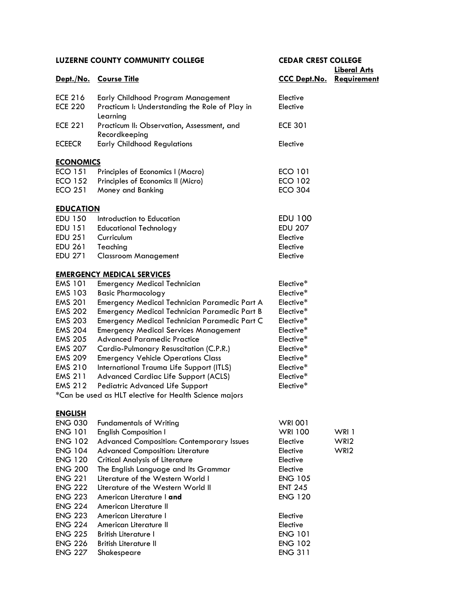# **Liberal Arts**

|                  | Dept./No. Course Title                                      | <b>CCC Dept.No. Requirement</b> |       |
|------------------|-------------------------------------------------------------|---------------------------------|-------|
| ECE 216          | Early Childhood Program Management                          | Elective                        |       |
| <b>ECE 220</b>   | Practicum I: Understanding the Role of Play in<br>Learning  | Elective                        |       |
| <b>ECE 221</b>   | Practicum II: Observation, Assessment, and<br>Recordkeeping | <b>ECE 301</b>                  |       |
| <b>ECEECR</b>    | <b>Early Childhood Regulations</b>                          | Elective                        |       |
| <b>ECONOMICS</b> |                                                             |                                 |       |
| <b>ECO 151</b>   | Principles of Economics I (Macro)                           | <b>ECO 101</b>                  |       |
| <b>ECO 152</b>   | Principles of Economics II (Micro)                          | <b>ECO 102</b>                  |       |
| <b>ECO 251</b>   | Money and Banking                                           | <b>ECO 304</b>                  |       |
| <b>EDUCATION</b> |                                                             |                                 |       |
| <b>EDU 150</b>   | Introduction to Education                                   | <b>EDU 100</b>                  |       |
| <b>EDU 151</b>   | <b>Educational Technology</b>                               | <b>EDU 207</b>                  |       |
| <b>EDU 251</b>   | Curriculum                                                  | Elective                        |       |
| <b>EDU 261</b>   | Teaching                                                    | Elective                        |       |
| EDU 271          | <b>Classroom Management</b>                                 | Elective                        |       |
|                  | <b>EMERGENCY MEDICAL SERVICES</b>                           |                                 |       |
| <b>EMS 101</b>   | <b>Emergency Medical Technician</b>                         | Elective*                       |       |
| <b>EMS 103</b>   | <b>Basic Pharmacology</b>                                   | Elective*                       |       |
| <b>EMS 201</b>   | Emergency Medical Technician Paramedic Part A               | Elective*                       |       |
| <b>EMS 202</b>   | Emergency Medical Technician Paramedic Part B               | Elective*                       |       |
| <b>EMS 203</b>   | Emergency Medical Technician Paramedic Part C               | Elective*                       |       |
| <b>EMS 204</b>   | <b>Emergency Medical Services Management</b>                | Elective*                       |       |
| <b>EMS 205</b>   | <b>Advanced Paramedic Practice</b>                          | Elective*                       |       |
| <b>EMS 207</b>   | Cardio-Pulmonary Resuscitation (C.P.R.)                     | Elective*                       |       |
| <b>EMS 209</b>   | <b>Emergency Vehicle Operations Class</b>                   | Elective*                       |       |
| <b>EMS 210</b>   | International Trauma Life Support (ITLS)                    | Elective*                       |       |
| <b>EMS 211</b>   | Advanced Cardiac Life Support (ACLS)                        | Elective*                       |       |
| <b>EMS 212</b>   | Pediatric Advanced Life Support                             | Elective*                       |       |
|                  | *Can be used as HLT elective for Health Science majors      |                                 |       |
| <u>ENGLISH</u>   |                                                             |                                 |       |
| <b>ENG 030</b>   | <b>Fundamentals of Writing</b>                              | <b>WRI 001</b>                  |       |
| <b>ENG 101</b>   | <b>English Composition I</b>                                | WRI 100                         | WRI 1 |
| <b>ENG 102</b>   | Advanced Composition: Contemporary Issues                   | Elective                        | WRI2  |
| <b>ENG 104</b>   | <b>Advanced Composition: Literature</b>                     | Elective                        | WRI2  |
| <b>ENG 120</b>   | <b>Critical Analysis of Literature</b>                      | Elective                        |       |
| <b>ENG 200</b>   | The English Language and Its Grammar                        | Elective                        |       |
| <b>ENG 221</b>   | Literature of the Western World I                           | <b>ENG 105</b>                  |       |
| <b>ENG 222</b>   | Literature of the Western World II                          | <b>ENT 245</b>                  |       |
| <b>ENG 223</b>   | American Literature I and                                   | <b>ENG 120</b>                  |       |
| <b>ENG 224</b>   | American Literature II                                      |                                 |       |
| <b>ENG 223</b>   | American Literature I                                       | Elective                        |       |
| <b>ENG 224</b>   | American Literature II                                      | Elective                        |       |
| <b>ENG 225</b>   | <b>British Literature I</b>                                 | <b>ENG 101</b>                  |       |
| <b>ENG 226</b>   | <b>British Literature II</b>                                | <b>ENG 102</b>                  |       |
| <b>ENG 227</b>   | Shakespeare                                                 | <b>ENG 311</b>                  |       |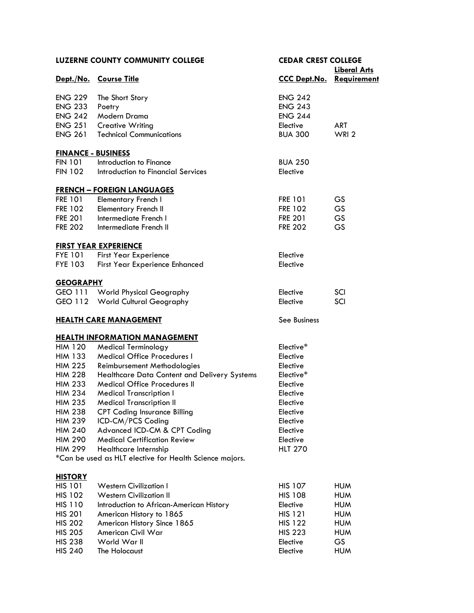| <b>LUZERNE COUNTY COMMUNITY COLLEGE</b> |                                                         |                                 | <b>CEDAR CREST COLLEGE</b> |  |
|-----------------------------------------|---------------------------------------------------------|---------------------------------|----------------------------|--|
| Dept./No. Course Title                  |                                                         | <b>CCC Dept.No. Requirement</b> | <b>Liberal Arts</b>        |  |
|                                         |                                                         |                                 |                            |  |
| <b>ENG 229</b>                          | The Short Story                                         | <b>ENG 242</b>                  |                            |  |
| <b>ENG 233</b>                          | Poetry                                                  | <b>ENG 243</b>                  |                            |  |
| <b>ENG 242</b>                          | Modern Drama                                            | <b>ENG 244</b>                  |                            |  |
| <b>ENG 251</b>                          | <b>Creative Writing</b>                                 | Elective                        | <b>ART</b>                 |  |
| <b>ENG 261</b>                          | <b>Technical Communications</b>                         | <b>BUA 300</b>                  | WRI <sub>2</sub>           |  |
| <b>FINANCE - BUSINESS</b>               |                                                         |                                 |                            |  |
| <b>FIN 101</b>                          | Introduction to Finance                                 | <b>BUA 250</b>                  |                            |  |
| <b>FIN 102</b>                          | Introduction to Financial Services                      | Elective                        |                            |  |
|                                         | <b>FRENCH - FOREIGN LANGUAGES</b>                       |                                 |                            |  |
| <b>FRE 101</b>                          | <b>Elementary French I</b>                              | <b>FRE 101</b>                  | GS                         |  |
| <b>FRE 102</b>                          | <b>Elementary French II</b>                             | <b>FRE 102</b>                  | <b>GS</b>                  |  |
| <b>FRE 201</b>                          | Intermediate French I                                   | <b>FRE 201</b>                  | <b>GS</b>                  |  |
| <b>FRE 202</b>                          | Intermediate French II                                  | <b>FRE 202</b>                  | GS                         |  |
|                                         | <b>FIRST YEAR EXPERIENCE</b>                            |                                 |                            |  |
| <b>FYE 101</b>                          | <b>First Year Experience</b>                            | Elective                        |                            |  |
| <b>FYE 103</b>                          | <b>First Year Experience Enhanced</b>                   | Elective                        |                            |  |
| <b>GEOGRAPHY</b>                        |                                                         |                                 |                            |  |
|                                         | GEO 111 World Physical Geography                        | Elective                        | SCI                        |  |
|                                         | GEO 112 World Cultural Geography                        | Elective                        | SCI                        |  |
|                                         | <b>HEALTH CARE MANAGEMENT</b>                           | See Business                    |                            |  |
|                                         | <b>HEALTH INFORMATION MANAGEMENT</b>                    |                                 |                            |  |
| <b>HIM 120</b>                          | <b>Medical Terminology</b>                              | Elective*                       |                            |  |
| <b>HIM 133</b>                          | <b>Medical Office Procedures I</b>                      | Elective                        |                            |  |
| <b>HIM 225</b>                          | Reimbursement Methodologies                             | Elective                        |                            |  |
| <b>HIM 228</b>                          | Healthcare Data Content and Delivery Systems            | Elective*                       |                            |  |
| <b>HIM 233</b>                          | <b>Medical Office Procedures II</b>                     | Elective                        |                            |  |
| <b>HIM 234</b>                          | <b>Medical Transcription I</b>                          | Elective                        |                            |  |
| <b>HIM 235</b>                          | <b>Medical Transcription II</b>                         | Elective                        |                            |  |
| <b>HIM 238</b>                          | <b>CPT Coding Insurance Billing</b>                     | Elective                        |                            |  |
| <b>HIM 239</b>                          | ICD-CM/PCS Coding                                       | Elective                        |                            |  |
| <b>HIM 240</b>                          | Advanced ICD-CM & CPT Coding                            | Elective                        |                            |  |
| <b>HIM 290</b>                          | <b>Medical Certification Review</b>                     | Elective                        |                            |  |
| <b>HIM 299</b>                          | Healthcare Internship                                   | <b>HLT 270</b>                  |                            |  |
|                                         | *Can be used as HLT elective for Health Science majors. |                                 |                            |  |
| <b>HISTORY</b>                          |                                                         |                                 |                            |  |
| <b>HIS 101</b>                          | <b>Western Civilization I</b>                           | <b>HIS 107</b>                  | <b>HUM</b>                 |  |
| <b>HIS 102</b>                          | <b>Western Civilization II</b>                          | <b>HIS 108</b>                  | <b>HUM</b>                 |  |
| <b>HIS 110</b>                          | Introduction to African-American History                | Elective                        | <b>HUM</b>                 |  |
| <b>HIS 201</b>                          | American History to 1865                                | <b>HIS 121</b>                  | <b>HUM</b>                 |  |
| <b>HIS 202</b>                          | American History Since 1865                             | <b>HIS 122</b>                  | <b>HUM</b>                 |  |
| <b>HIS 205</b>                          | American Civil War                                      | <b>HIS 223</b>                  | <b>HUM</b>                 |  |
| <b>HIS 238</b>                          | World War II                                            | Elective                        | GS                         |  |
| <b>HIS 240</b>                          | The Holocaust                                           | Elective                        | <b>HUM</b>                 |  |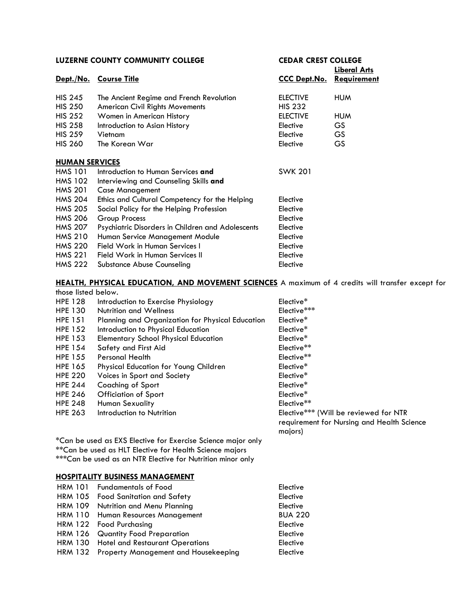| <b>LUZERNE COUNTY COMMUNITY COLLEGE</b> |                                                   | <b>CEDAR CREST COLLEGE</b> |                      |  |
|-----------------------------------------|---------------------------------------------------|----------------------------|----------------------|--|
|                                         |                                                   |                            | <u> Liberal Arts</u> |  |
| <u>Dept./No.</u>                        | <u>Course Title</u>                               | <b>CCC Dept.No.</b>        | Requirement          |  |
| <b>HIS 245</b>                          | The Ancient Regime and French Revolution          | <b>ELECTIVE</b>            | <b>HUM</b>           |  |
| <b>HIS 250</b>                          | <b>American Civil Rights Movements</b>            | <b>HIS 232</b>             |                      |  |
| <b>HIS 252</b>                          | Women in American History                         | <b>ELECTIVE</b>            | <b>HUM</b>           |  |
| <b>HIS 258</b>                          | Introduction to Asian History                     | Elective                   | GS.                  |  |
| <b>HIS 259</b>                          | Vietnam                                           | Elective                   | <b>GS</b>            |  |
| <b>HIS 260</b>                          | The Korean War                                    | Elective                   | GS.                  |  |
| <b>HUMAN SERVICES</b>                   |                                                   |                            |                      |  |
| <b>HMS 101</b>                          | Introduction to Human Services and                | <b>SWK 201</b>             |                      |  |
| <b>HMS 102</b>                          | Interviewing and Counseling Skills and            |                            |                      |  |
| <b>HMS 201</b>                          | <b>Case Management</b>                            |                            |                      |  |
| <b>HMS 204</b>                          | Ethics and Cultural Competency for the Helping    | Elective                   |                      |  |
| <b>HMS 205</b>                          | Social Policy for the Helping Profession          | Elective                   |                      |  |
| <b>HMS 206</b>                          | Group Process                                     | Elective                   |                      |  |
| <b>HMS 207</b>                          | Psychiatric Disorders in Children and Adolescents | Elective                   |                      |  |
| <b>HMS 210</b>                          | Human Service Management Module                   | Elective                   |                      |  |
| <b>HMS 220</b>                          | Field Work in Human Services I                    | Elective                   |                      |  |
| <b>HMS 221</b>                          | Field Work in Human Services II                   | Elective                   |                      |  |
| <b>HMS 222</b>                          | Substance Abuse Counseling                        | Elective                   |                      |  |

#### **[HEALTH, PHYSICAL EDUCATION, AND MOVEMENT SCIENCES](http://www.luzerne.edu/academics/catalog2015/coursedesc2.jsp?code=HPE§ion=HEALTH,%20PHYSICAL%20EDUCATION%20AND%20MOVEMENT%20SCIENCES)** A maximum of 4 credits will transfer except for those listed below.

| <b>HPE 128</b> | Introduction to Exercise Physiology                          | Elective*                                  |
|----------------|--------------------------------------------------------------|--------------------------------------------|
| <b>HPE 130</b> | <b>Nutrition and Wellness</b>                                | Elective***                                |
| <b>HPE 151</b> | Planning and Organization for Physical Education             | Elective <sup>*</sup>                      |
| <b>HPE 152</b> | Introduction to Physical Education                           | Elective*                                  |
| <b>HPE 153</b> | <b>Elementary School Physical Education</b>                  | Elective*                                  |
| <b>HPE 154</b> | Safety and First Aid                                         | Elective**                                 |
| <b>HPE 155</b> | <b>Personal Health</b>                                       | Elective**                                 |
| <b>HPE 165</b> | Physical Education for Young Children                        | Elective*                                  |
| <b>HPE 220</b> | Voices in Sport and Society                                  | Elective*                                  |
| <b>HPE 244</b> | Coaching of Sport                                            | Elective <sup>*</sup>                      |
| <b>HPE 246</b> | Officiation of Sport                                         | Elective*                                  |
| <b>HPE 248</b> | <b>Human Sexuality</b>                                       | Elective**                                 |
| <b>HPE 263</b> | Introduction to Nutrition                                    | Elective*** (Will be reviewed for NTR      |
|                |                                                              | requirement for Nursing and Health Science |
|                |                                                              | majors)                                    |
|                | *Can be used as EXS Elective for Exercise Science major only |                                            |
|                |                                                              |                                            |

\*\*Can be used as HLT Elective for Health Science majors \*\*\*Can be used as an NTR Elective for Nutrition minor only

#### **[HOSPITALITY BUSINESS MANAGEMENT](http://www.luzerne.edu/academics/catalog2015/coursedesc2.jsp?code=HRM§ion=HOSPITALITY%20BUSINESS%20MANAGEMENT)**

| HRM 101 Fundamentals of Food                 | Elective       |
|----------------------------------------------|----------------|
| HRM 105 Food Sanitation and Safety           | Elective       |
| HRM 109 Nutrition and Menu Planning          | Elective       |
| HRM 110 Human Resources Management           | <b>BUA 220</b> |
| HRM 122 Food Purchasing                      | Elective       |
| HRM 126 Quantity Food Preparation            | Elective       |
| HRM 130 Hotel and Restaurant Operations      | Elective       |
| HRM 132 Property Management and Housekeeping | Elective       |
|                                              |                |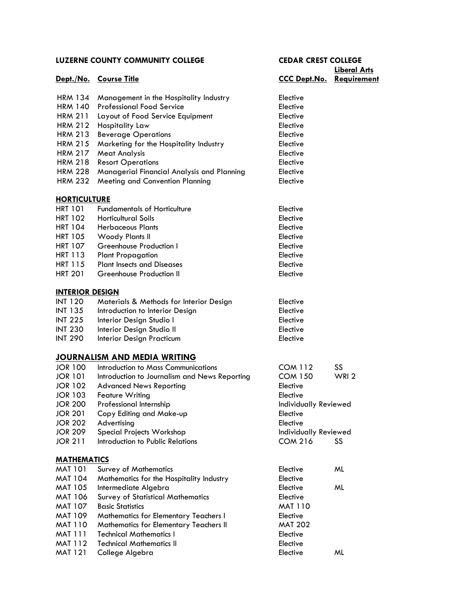|                        |                                               |                              | <b>Liberal Arts</b> |
|------------------------|-----------------------------------------------|------------------------------|---------------------|
|                        | Dept./No. Course Title                        | <b>CCC Dept.No.</b>          | <b>Requirement</b>  |
|                        |                                               |                              |                     |
| <b>HRM 134</b>         | Management in the Hospitality Industry        | Elective                     |                     |
| <b>HRM 140</b>         | <b>Professional Food Service</b>              | Elective                     |                     |
| <b>HRM 211</b>         | Layout of Food Service Equipment              | Elective                     |                     |
| <b>HRM 212</b>         | Hospitality Law                               | Elective                     |                     |
| <b>HRM 213</b>         | <b>Beverage Operations</b>                    | Elective                     |                     |
| <b>HRM 215</b>         | Marketing for the Hospitality Industry        | Elective                     |                     |
| <b>HRM 217</b>         | <b>Meat Analysis</b>                          | Elective                     |                     |
| <b>HRM 218</b>         | <b>Resort Operations</b>                      | Elective                     |                     |
| <b>HRM 228</b>         | Managerial Financial Analysis and Planning    | Elective                     |                     |
| <b>HRM 232</b>         | Meeting and Convention Planning               | Elective                     |                     |
| <b>HORTICULTURE</b>    |                                               |                              |                     |
| <b>HRT 101</b>         | <b>Fundamentals of Horticulture</b>           | Elective                     |                     |
| <b>HRT 102</b>         | <b>Horticultural Soils</b>                    | Elective                     |                     |
| <b>HRT 104</b>         | <b>Herbaceous Plants</b>                      | Elective                     |                     |
| <b>HRT 105</b>         | Woody Plants II                               | Elective                     |                     |
| <b>HRT 107</b>         | Greenhouse Production I                       | Elective                     |                     |
| <b>HRT 113</b>         | <b>Plant Propagation</b>                      | Elective                     |                     |
| <b>HRT 115</b>         | <b>Plant Insects and Diseases</b>             | Elective                     |                     |
| <b>HRT 201</b>         | Greenhouse Production II                      | Elective                     |                     |
|                        |                                               |                              |                     |
| <b>INTERIOR DESIGN</b> |                                               |                              |                     |
| <b>INT 120</b>         | Materials & Methods for Interior Design       | Elective                     |                     |
| <b>INT 135</b>         | Introduction to Interior Design               | Elective                     |                     |
| <b>INT 225</b>         | Interior Design Studio I                      | Elective                     |                     |
| <b>INT 230</b>         | Interior Design Studio II                     | Elective                     |                     |
| <b>INT 290</b>         | Interior Design Practicum                     | Elective                     |                     |
|                        | JOURNALISM AND MEDIA WRITING                  |                              |                     |
| <b>JOR 100</b>         | Introduction to Mass Communications           | <b>COM 112</b>               | SS                  |
| <b>JOR 101</b>         | Introduction to Journalism and News Reporting | <b>COM 150</b>               | WRI <sub>2</sub>    |
| <b>JOR 102</b>         | <b>Advanced News Reporting</b>                | Elective                     |                     |
| <b>JOR 103</b>         | Feature Writing                               | Elective                     |                     |
| <b>JOR 200</b>         | Professional Internship                       | <b>Individually Reviewed</b> |                     |
| <b>JOR 201</b>         | Copy Editing and Make-up                      | Elective                     |                     |
| <b>JOR 202</b>         | Advertising                                   | Elective                     |                     |
| <b>JOR 209</b>         | Special Projects Workshop                     | <b>Individually Reviewed</b> |                     |
| <b>JOR 211</b>         | Introduction to Public Relations              | <b>COM 216</b>               | SS                  |
|                        |                                               |                              |                     |
| <b>MATHEMATICS</b>     |                                               |                              |                     |
| <b>MAT 101</b>         | <b>Survey of Mathematics</b>                  | Elective                     | ML                  |
| MAT 104                | Mathematics for the Hospitality Industry      | Elective                     |                     |
| MAT 105                | Intermediate Algebra                          | Elective                     | ML                  |
| MAT 106                | <b>Survey of Statistical Mathematics</b>      | Elective                     |                     |
| MAT 107                | <b>Basic Statistics</b>                       | <b>MAT 110</b>               |                     |
| MAT 109                | Mathematics for Elementary Teachers I         | Elective                     |                     |
| MAT 110                | Mathematics for Elementary Teachers II        | <b>MAT 202</b>               |                     |
| <b>MAT 111</b>         | <b>Technical Mathematics I</b>                | Elective                     |                     |
| <b>MAT 112</b>         | <b>Technical Mathematics II</b>               | Elective                     |                     |
| <b>MAT 121</b>         | College Algebra                               | Elective                     | ML                  |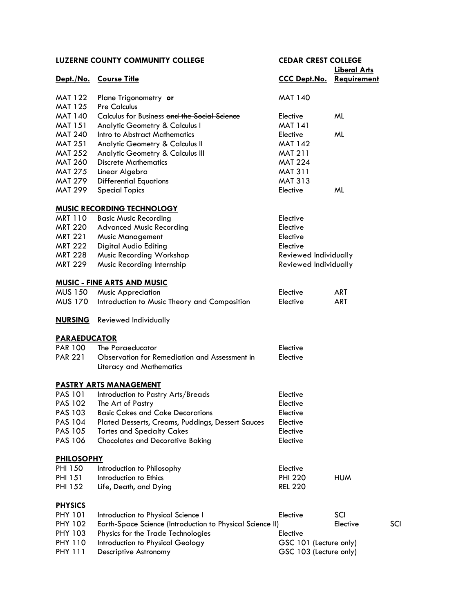|                     | <b>LUZERNE COUNTY COMMUNITY COLLEGE</b>                   | <b>CEDAR CREST COLLEGE</b>      |                     |     |
|---------------------|-----------------------------------------------------------|---------------------------------|---------------------|-----|
|                     |                                                           |                                 | <b>Liberal Arts</b> |     |
|                     | Dept./No. Course Title                                    | <b>CCC Dept.No. Requirement</b> |                     |     |
| MAT 122             | Plane Trigonometry or                                     | <b>MAT 140</b>                  |                     |     |
| <b>MAT 125</b>      | <b>Pre Calculus</b>                                       |                                 |                     |     |
| MAT 140             | Calculus for Business and the Social Science              | Elective                        | ML                  |     |
| MAT 151             | <b>Analytic Geometry &amp; Calculus I</b>                 | <b>MAT 141</b>                  |                     |     |
| <b>MAT 240</b>      | Intro to Abstract Mathematics                             | Elective                        | ML                  |     |
| <b>MAT 251</b>      | Analytic Geometry & Calculus II                           | <b>MAT 142</b>                  |                     |     |
| <b>MAT 252</b>      | Analytic Geometry & Calculus III                          | <b>MAT 211</b>                  |                     |     |
| <b>MAT 260</b>      | <b>Discrete Mathematics</b>                               | <b>MAT 224</b>                  |                     |     |
| <b>MAT 275</b>      | Linear Algebra                                            | <b>MAT 311</b>                  |                     |     |
| MAT 279             | <b>Differential Equations</b>                             | <b>MAT 313</b>                  |                     |     |
| <b>MAT 299</b>      | <b>Special Topics</b>                                     | Elective                        | ML                  |     |
|                     | <b>MUSIC RECORDING TECHNOLOGY</b>                         |                                 |                     |     |
| MRT 110             | <b>Basic Music Recording</b>                              | Elective                        |                     |     |
| <b>MRT 220</b>      | <b>Advanced Music Recording</b>                           | Elective                        |                     |     |
| MRT 221             | <b>Music Management</b>                                   | Elective                        |                     |     |
| <b>MRT 222</b>      | Digital Audio Editing                                     | Elective                        |                     |     |
| MRT 228             | Music Recording Workshop                                  | Reviewed Individually           |                     |     |
| MRT 229             | Music Recording Internship                                | Reviewed Individually           |                     |     |
|                     | <b>MUSIC - FINE ARTS AND MUSIC</b>                        |                                 |                     |     |
| MUS 150             | <b>Music Appreciation</b>                                 | Elective                        | <b>ART</b>          |     |
| <b>MUS 170</b>      | Introduction to Music Theory and Composition              | Elective                        | <b>ART</b>          |     |
| <u>NURSING</u>      | Reviewed Individually                                     |                                 |                     |     |
| <b>PARAEDUCATOR</b> |                                                           |                                 |                     |     |
| PAR 100             | The Paraeducator                                          | Elective                        |                     |     |
| <b>PAR 221</b>      | Observation for Remediation and Assessment in             | Elective                        |                     |     |
|                     | <b>Literacy and Mathematics</b>                           |                                 |                     |     |
|                     | <b>PASTRY ARTS MANAGEMENT</b>                             |                                 |                     |     |
| PAS 101             | Introduction to Pastry Arts/Breads                        | Elective                        |                     |     |
| <b>PAS 102</b>      | The Art of Pastry                                         | Elective                        |                     |     |
| <b>PAS 103</b>      | <b>Basic Cakes and Cake Decorations</b>                   | Elective                        |                     |     |
| <b>PAS 104</b>      | Plated Desserts, Creams, Puddings, Dessert Sauces         | Elective                        |                     |     |
| <b>PAS 105</b>      | <b>Tortes and Specialty Cakes</b>                         | Elective                        |                     |     |
| <b>PAS 106</b>      | <b>Chocolates and Decorative Baking</b>                   | Elective                        |                     |     |
| <b>PHILOSOPHY</b>   |                                                           |                                 |                     |     |
| <b>PHI 150</b>      | Introduction to Philosophy                                | Elective                        |                     |     |
| PHI 151             | Introduction to Ethics                                    | <b>PHI 220</b>                  | <b>HUM</b>          |     |
| PHI 152             | Life, Death, and Dying                                    | <b>REL 220</b>                  |                     |     |
| <b>PHYSICS</b>      |                                                           |                                 |                     |     |
| <b>PHY 101</b>      | Introduction to Physical Science I                        | Elective                        | SCI                 |     |
| <b>PHY 102</b>      | Earth-Space Science (Introduction to Physical Science II) |                                 | Elective            | SCI |
| <b>PHY 103</b>      | Physics for the Trade Technologies                        | Elective                        |                     |     |
| <b>PHY 110</b>      | Introduction to Physical Geology                          | GSC 101 (Lecture only)          |                     |     |
| <b>PHY 111</b>      | Descriptive Astronomy                                     | GSC 103 (Lecture only)          |                     |     |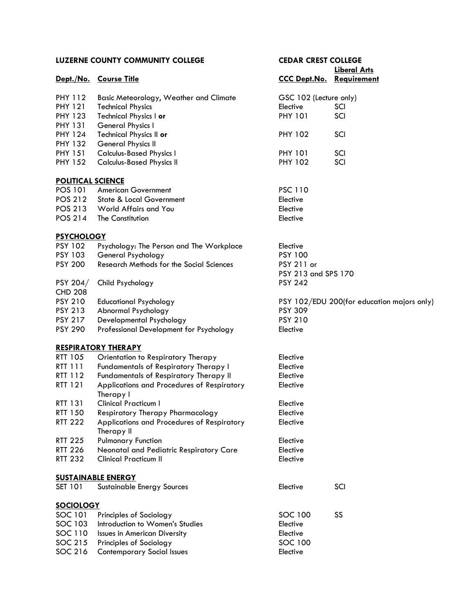| LUZERNE COUNTY COMMUNITY COLLEGE |                                                          | <b>CEDAR CREST COLLEGE</b>      |                                            |  |
|----------------------------------|----------------------------------------------------------|---------------------------------|--------------------------------------------|--|
|                                  |                                                          |                                 | <b>Liberal Arts</b>                        |  |
|                                  | Dept./No. Course Title                                   | <b>CCC Dept.No. Requirement</b> |                                            |  |
| <b>PHY 112</b>                   | <b>Basic Meteorology, Weather and Climate</b>            | GSC 102 (Lecture only)          |                                            |  |
| <b>PHY 121</b>                   | <b>Technical Physics</b>                                 | Elective                        | SCI                                        |  |
| <b>PHY 123</b>                   | Technical Physics I or                                   | <b>PHY 101</b>                  | SCI                                        |  |
| <b>PHY 131</b>                   | General Physics I                                        |                                 |                                            |  |
| <b>PHY 124</b>                   | Technical Physics II or                                  | <b>PHY 102</b>                  | SCI                                        |  |
| <b>PHY 132</b>                   | <b>General Physics II</b>                                |                                 |                                            |  |
| <b>PHY 151</b>                   | <b>Calculus-Based Physics I</b>                          | <b>PHY 101</b>                  | SCI                                        |  |
| <b>PHY 152</b>                   | <b>Calculus-Based Physics II</b>                         | <b>PHY 102</b>                  | SCI                                        |  |
| <b>POLITICAL SCIENCE</b>         |                                                          |                                 |                                            |  |
| POS 101                          | <b>American Government</b>                               | <b>PSC 110</b>                  |                                            |  |
| POS 212                          | <b>State &amp; Local Government</b>                      | Elective                        |                                            |  |
| POS 213                          | World Affairs and You                                    | Elective                        |                                            |  |
| POS 214                          | The Constitution                                         | Elective                        |                                            |  |
| <b>PSYCHOLOGY</b>                |                                                          |                                 |                                            |  |
| <b>PSY 102</b>                   | Psychology: The Person and The Workplace                 | Elective                        |                                            |  |
| <b>PSY 103</b>                   | General Psychology                                       | <b>PSY 100</b>                  |                                            |  |
| <b>PSY 200</b>                   | <b>Research Methods for the Social Sciences</b>          | PSY 211 or                      |                                            |  |
|                                  |                                                          | PSY 213 and SPS 170             |                                            |  |
| PSY 204/<br><b>CHD 208</b>       | Child Psychology                                         | <b>PSY 242</b>                  |                                            |  |
| <b>PSY 210</b>                   | <b>Educational Psychology</b>                            |                                 | PSY 102/EDU 200(for education majors only) |  |
| <b>PSY 213</b>                   | Abnormal Psychology                                      | <b>PSY 309</b>                  |                                            |  |
| <b>PSY 217</b>                   | Developmental Psychology                                 | <b>PSY 210</b>                  |                                            |  |
| <b>PSY 290</b>                   | Professional Development for Psychology                  | Elective                        |                                            |  |
|                                  | <b>RESPIRATORY THERAPY</b>                               |                                 |                                            |  |
| RTT 105                          | Orientation to Respiratory Therapy                       | Elective                        |                                            |  |
| RTT 111                          | Fundamentals of Respiratory Therapy I                    | Elective                        |                                            |  |
| RTT 112                          | Fundamentals of Respiratory Therapy II                   | Elective                        |                                            |  |
| RTT 121                          | Applications and Procedures of Respiratory<br>Therapy I  | Elective                        |                                            |  |
| RTT 131                          | Clinical Practicum I                                     | Elective                        |                                            |  |
| RTT 150                          | <b>Respiratory Therapy Pharmacology</b>                  | Elective                        |                                            |  |
| <b>RTT 222</b>                   | Applications and Procedures of Respiratory<br>Therapy II | Elective                        |                                            |  |
| <b>RTT 225</b>                   | <b>Pulmonary Function</b>                                | Elective                        |                                            |  |
| <b>RTT 226</b>                   | Neonatal and Pediatric Respiratory Care                  | Elective                        |                                            |  |
| <b>RTT 232</b>                   | <b>Clinical Practicum II</b>                             | Elective                        |                                            |  |
|                                  | <b>SUSTAINABLE ENERGY</b>                                |                                 |                                            |  |
| SET 101                          | Sustainable Energy Sources                               | Elective                        | SCI                                        |  |
| <b>SOCIOLOGY</b>                 |                                                          |                                 |                                            |  |
| SOC 101                          | Principles of Sociology                                  | SOC 100                         | SS                                         |  |
| SOC 103                          | Introduction to Women's Studies                          | Elective                        |                                            |  |
| SOC 110                          | <b>Issues in American Diversity</b>                      | Elective                        |                                            |  |
| SOC 215                          | Principles of Sociology                                  | SOC 100                         |                                            |  |
| SOC 216                          | <b>Contemporary Social Issues</b>                        | Elective                        |                                            |  |
|                                  |                                                          |                                 |                                            |  |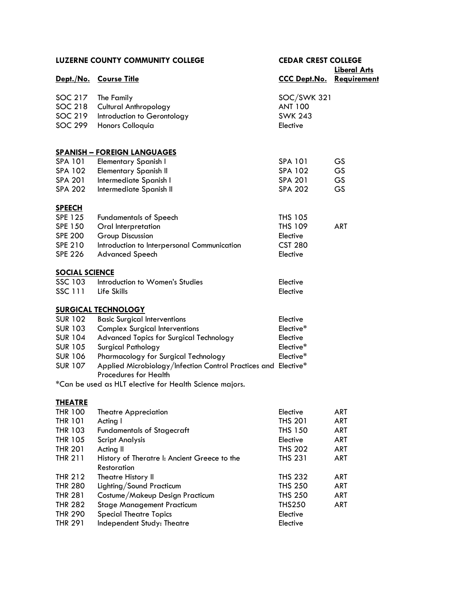| LUZERNE COUNTY COMMUNITY COLLEGE |                                                                                         | <b>CEDAR CREST COLLEGE</b><br><b>Liberal Arts</b> |            |
|----------------------------------|-----------------------------------------------------------------------------------------|---------------------------------------------------|------------|
|                                  | Dept./No. Course Title                                                                  | <b>CCC Dept.No. Requirement</b>                   |            |
| SOC 217                          | The Family                                                                              | SOC/SWK 321                                       |            |
| SOC 218                          | <b>Cultural Anthropology</b>                                                            | <b>ANT 100</b>                                    |            |
| SOC 219                          | Introduction to Gerontology                                                             | <b>SWK 243</b>                                    |            |
| <b>SOC 299</b>                   | Honors Colloquia                                                                        | Elective                                          |            |
|                                  | <b>SPANISH - FOREIGN LANGUAGES</b>                                                      |                                                   |            |
| <b>SPA 101</b>                   | <b>Elementary Spanish I</b>                                                             | SPA 101                                           | <b>GS</b>  |
| SPA 102                          | Elementary Spanish II                                                                   | SPA 102                                           | <b>GS</b>  |
| <b>SPA 201</b>                   | Intermediate Spanish I                                                                  | SPA 201                                           | <b>GS</b>  |
| <b>SPA 202</b>                   | Intermediate Spanish II                                                                 | <b>SPA 202</b>                                    | <b>GS</b>  |
| <b>SPEECH</b>                    |                                                                                         |                                                   |            |
| <b>SPE 125</b>                   | <b>Fundamentals of Speech</b>                                                           | <b>THS 105</b><br><b>THS 109</b>                  | <b>ART</b> |
| <b>SPE 150</b><br><b>SPE 200</b> | Oral Interpretation                                                                     |                                                   |            |
| <b>SPE 210</b>                   | Group Discussion                                                                        | Elective<br><b>CST 280</b>                        |            |
| <b>SPE 226</b>                   | Introduction to Interpersonal Communication                                             | Elective                                          |            |
|                                  | <b>Advanced Speech</b>                                                                  |                                                   |            |
| <b>SOCIAL SCIENCE</b>            |                                                                                         |                                                   |            |
| SSC 103                          | Introduction to Women's Studies                                                         | Elective                                          |            |
| <b>SSC 111</b>                   | Life Skills                                                                             | Elective                                          |            |
|                                  | <b>SURGICAL TECHNOLOGY</b>                                                              |                                                   |            |
| <b>SUR 102</b>                   | <b>Basic Surgical Interventions</b>                                                     | Elective                                          |            |
| <b>SUR 103</b>                   | <b>Complex Surgical Interventions</b>                                                   | Elective*                                         |            |
| <b>SUR 104</b>                   | Advanced Topics for Surgical Technology                                                 | Elective                                          |            |
| <b>SUR 105</b>                   | Surgical Pathology                                                                      | Elective*                                         |            |
| <b>SUR 106</b>                   | Pharmacology for Surgical Technology                                                    | Elective*                                         |            |
| <b>SUR 107</b>                   | Applied Microbiology/Infection Control Practices and Elective*<br>Procedures for Health |                                                   |            |
|                                  | *Can be used as HLT elective for Health Science majors.                                 |                                                   |            |
| <b>THEATRE</b>                   |                                                                                         |                                                   |            |
| <b>THR 100</b>                   | <b>Theatre Appreciation</b>                                                             | Elective                                          | ART        |
| <b>THR 101</b>                   | Acting I                                                                                | <b>THS 201</b>                                    | ART        |
| <b>THR 103</b>                   | <b>Fundamentals of Stagecraft</b>                                                       | <b>THS 150</b>                                    | ART        |
| <b>THR 105</b>                   | <b>Script Analysis</b>                                                                  | Elective                                          | ART        |
| <b>THR 201</b>                   | Acting II                                                                               | <b>THS 202</b>                                    | ART        |
| <b>THR 211</b>                   | History of Theratre I: Ancient Greece to the<br><b>Restoration</b>                      | <b>THS 231</b>                                    | ART        |
| <b>THR 212</b>                   | Theatre History II                                                                      | <b>THS 232</b>                                    | ART        |
| <b>THR 280</b>                   | Lighting/Sound Practicum                                                                | <b>THS 250</b>                                    | ART        |
| <b>THR 281</b>                   | Costume/Makeup Design Practicum                                                         | <b>THS 250</b>                                    | ART        |
| <b>THR 282</b>                   | <b>Stage Management Practicum</b>                                                       | <b>THS250</b>                                     | ART        |
| <b>THR 290</b>                   | <b>Special Theatre Topics</b>                                                           | Elective                                          |            |
| <b>THR 291</b>                   | Independent Study: Theatre                                                              | Elective                                          |            |